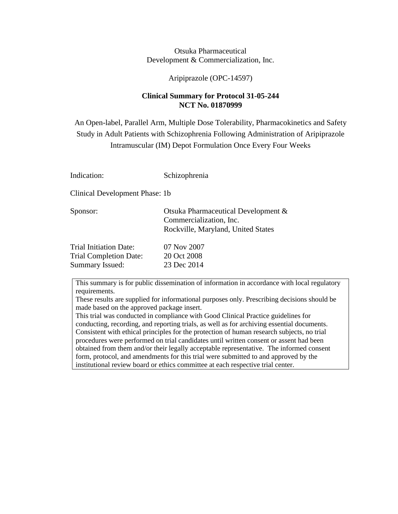Otsuka Pharmaceutical Development & Commercialization, Inc.

Aripiprazole (OPC-14597)

## **Clinical Summary for Protocol 31-05-244 NCT No. 01870999**

An Open-label, Parallel Arm, Multiple Dose Tolerability, Pharmacokinetics and Safety Study in Adult Patients with Schizophrenia Following Administration of Aripiprazole Intramuscular (IM) Depot Formulation Once Every Four Weeks

Indication: Schizophrenia

Clinical Development Phase: 1b

| Sponsor:               | Otsuka Pharmaceutical Development & |
|------------------------|-------------------------------------|
|                        | Commercialization, Inc.             |
|                        | Rockville, Maryland, United States  |
| Trial Initiation Date: | 07 Nov 2007                         |

| 07 Nov 2007 |
|-------------|
| 20 Oct 2008 |
| 23 Dec 2014 |
|             |

This summary is for public dissemination of information in accordance with local regulatory requirements.

These results are supplied for informational purposes only. Prescribing decisions should be made based on the approved package insert.

This trial was conducted in compliance with Good Clinical Practice guidelines for conducting, recording, and reporting trials, as well as for archiving essential documents. Consistent with ethical principles for the protection of human research subjects, no trial procedures were performed on trial candidates until written consent or assent had been obtained from them and/or their legally acceptable representative. The informed consent form, protocol, and amendments for this trial were submitted to and approved by the institutional review board or ethics committee at each respective trial center.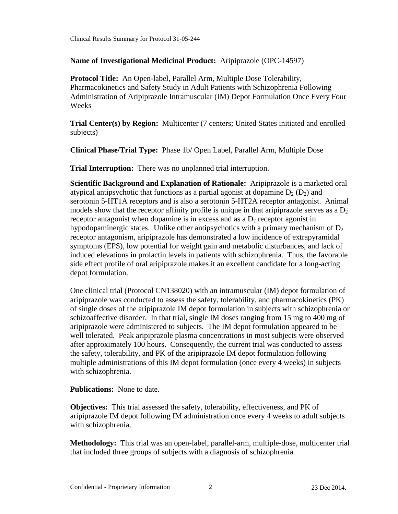### **Name of Investigational Medicinal Product:** Aripiprazole (OPC-14597)

**Protocol Title:** An Open-label, Parallel Arm, Multiple Dose Tolerability, Pharmacokinetics and Safety Study in Adult Patients with Schizophrenia Following Administration of Aripiprazole Intramuscular (IM) Depot Formulation Once Every Four Weeks

**Trial Center(s) by Region:** Multicenter (7 centers; United States initiated and enrolled subjects)

**Clinical Phase/Trial Type:** Phase 1b/ Open Label, Parallel Arm, Multiple Dose

**Trial Interruption:** There was no unplanned trial interruption.

**Scientific Background and Explanation of Rationale:** Aripiprazole is a marketed oral atypical antipsychotic that functions as a partial agonist at dopamine  $D_2$  ( $D_2$ ) and serotonin 5-HT1A receptors and is also a serotonin 5-HT2A receptor antagonist. Animal models show that the receptor affinity profile is unique in that aripiprazole serves as a  $D<sub>2</sub>$ receptor antagonist when dopamine is in excess and as a  $D_2$  receptor agonist in hypodopaminergic states. Unlike other antipsychotics with a primary mechanism of  $D_2$ receptor antagonism, aripiprazole has demonstrated a low incidence of extrapyramidal symptoms (EPS), low potential for weight gain and metabolic disturbances, and lack of induced elevations in prolactin levels in patients with schizophrenia. Thus, the favorable side effect profile of oral aripiprazole makes it an excellent candidate for a long-acting depot formulation.

One clinical trial (Protocol CN138020) with an intramuscular (IM) depot formulation of aripiprazole was conducted to assess the safety, tolerability, and pharmacokinetics (PK) of single doses of the aripiprazole IM depot formulation in subjects with schizophrenia or schizoaffective disorder. In that trial, single IM doses ranging from 15 mg to 400 mg of aripiprazole were administered to subjects. The IM depot formulation appeared to be well tolerated. Peak aripiprazole plasma concentrations in most subjects were observed after approximately 100 hours. Consequently, the current trial was conducted to assess the safety, tolerability, and PK of the aripiprazole IM depot formulation following multiple administrations of this IM depot formulation (once every 4 weeks) in subjects with schizophrenia.

**Publications:** None to date.

**Objectives:** This trial assessed the safety, tolerability, effectiveness, and PK of aripiprazole IM depot following IM administration once every 4 weeks to adult subjects with schizophrenia.

**Methodology:** This trial was an open-label, parallel-arm, multiple-dose, multicenter trial that included three groups of subjects with a diagnosis of schizophrenia.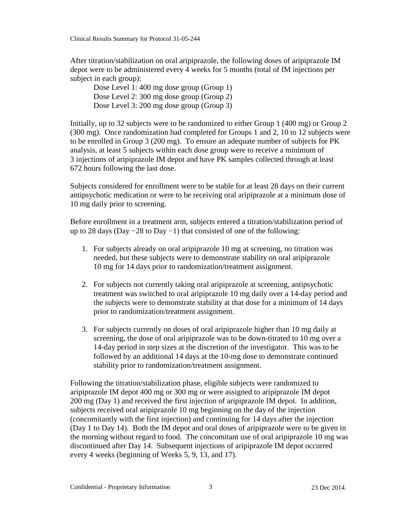After titration/stabilization on oral aripiprazole, the following doses of aripiprazole IM depot were to be administered every 4 weeks for 5 months (total of IM injections per subject in each group):

Dose Level 1: 400 mg dose group (Group 1) Dose Level 2: 300 mg dose group (Group 2) Dose Level 3: 200 mg dose group (Group 3)

Initially, up to 32 subjects were to be randomized to either Group 1 (400 mg) or Group 2 (300 mg). Once randomization had completed for Groups 1 and 2, 10 to 12 subjects were to be enrolled in Group 3 (200 mg). To ensure an adequate number of subjects for PK analysis, at least 5 subjects within each dose group were to receive a minimum of 3 injections of aripiprazole IM depot and have PK samples collected through at least 672 hours following the last dose.

Subjects considered for enrollment were to be stable for at least 28 days on their current antipsychotic medication or were to be receiving oral aripiprazole at a minimum dose of 10 mg daily prior to screening.

Before enrollment in a treatment arm, subjects entered a titration/stabilization period of up to 28 days (Day −28 to Day −1) that consisted of one of the following:

- 1. For subjects already on oral aripiprazole 10 mg at screening, no titration was needed, but these subjects were to demonstrate stability on oral aripiprazole 10 mg for 14 days prior to randomization/treatment assignment.
- 2. For subjects not currently taking oral aripiprazole at screening, antipsychotic treatment was switched to oral aripiprazole 10 mg daily over a 14-day period and the subjects were to demonstrate stability at that dose for a minimum of 14 days prior to randomization/treatment assignment.
- 3. For subjects currently on doses of oral aripiprazole higher than 10 mg daily at screening, the dose of oral aripiprazole was to be down-titrated to 10 mg over a 14-day period in step sizes at the discretion of the investigator. This was to be followed by an additional 14 days at the 10-mg dose to demonstrate continued stability prior to randomization/treatment assignment.

Following the titration/stabilization phase, eligible subjects were randomized to aripiprazole IM depot 400 mg or 300 mg or were assigned to aripiprazole IM depot 200 mg (Day 1) and received the first injection of aripiprazole IM depot. In addition, subjects received oral aripiprazole 10 mg beginning on the day of the injection (concomitantly with the first injection) and continuing for 14 days after the injection (Day 1 to Day 14). Both the IM depot and oral doses of aripiprazole were to be given in the morning without regard to food. The concomitant use of oral aripiprazole 10 mg was discontinued after Day 14. Subsequent injections of aripiprazole IM depot occurred every 4 weeks (beginning of Weeks 5, 9, 13, and 17).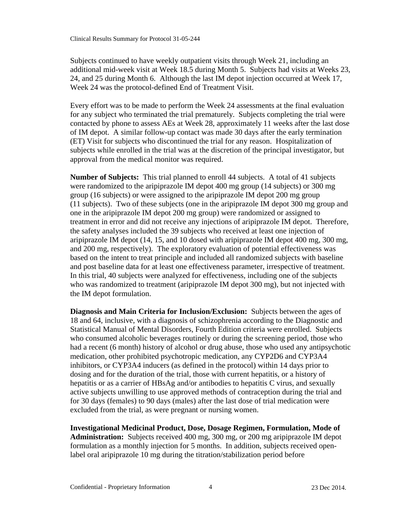Subjects continued to have weekly outpatient visits through Week 21, including an additional mid-week visit at Week 18.5 during Month 5. Subjects had visits at Weeks 23, 24, and 25 during Month 6. Although the last IM depot injection occurred at Week 17, Week 24 was the protocol-defined End of Treatment Visit.

Every effort was to be made to perform the Week 24 assessments at the final evaluation for any subject who terminated the trial prematurely. Subjects completing the trial were contacted by phone to assess AEs at Week 28, approximately 11 weeks after the last dose of IM depot. A similar follow-up contact was made 30 days after the early termination (ET) Visit for subjects who discontinued the trial for any reason. Hospitalization of subjects while enrolled in the trial was at the discretion of the principal investigator, but approval from the medical monitor was required.

**Number of Subjects:** This trial planned to enroll 44 subjects. A total of 41 subjects were randomized to the aripiprazole IM depot 400 mg group (14 subjects) or 300 mg group (16 subjects) or were assigned to the aripiprazole IM depot 200 mg group (11 subjects). Two of these subjects (one in the aripiprazole IM depot 300 mg group and one in the aripiprazole IM depot 200 mg group) were randomized or assigned to treatment in error and did not receive any injections of aripiprazole IM depot. Therefore, the safety analyses included the 39 subjects who received at least one injection of aripiprazole IM depot (14, 15, and 10 dosed with aripiprazole IM depot 400 mg, 300 mg, and 200 mg, respectively). The exploratory evaluation of potential effectiveness was based on the intent to treat principle and included all randomized subjects with baseline and post baseline data for at least one effectiveness parameter, irrespective of treatment. In this trial, 40 subjects were analyzed for effectiveness, including one of the subjects who was randomized to treatment (aripiprazole IM depot 300 mg), but not injected with the IM depot formulation.

**Diagnosis and Main Criteria for Inclusion/Exclusion:** Subjects between the ages of 18 and 64, inclusive, with a diagnosis of schizophrenia according to the Diagnostic and Statistical Manual of Mental Disorders, Fourth Edition criteria were enrolled. Subjects who consumed alcoholic beverages routinely or during the screening period, those who had a recent (6 month) history of alcohol or drug abuse, those who used any antipsychotic medication, other prohibited psychotropic medication, any CYP2D6 and CYP3A4 inhibitors, or CYP3A4 inducers (as defined in the protocol) within 14 days prior to dosing and for the duration of the trial, those with current hepatitis, or a history of hepatitis or as a carrier of HBsAg and/or antibodies to hepatitis C virus, and sexually active subjects unwilling to use approved methods of contraception during the trial and for 30 days (females) to 90 days (males) after the last dose of trial medication were excluded from the trial, as were pregnant or nursing women.

**Investigational Medicinal Product, Dose, Dosage Regimen, Formulation, Mode of Administration:** Subjects received 400 mg, 300 mg, or 200 mg aripiprazole IM depot formulation as a monthly injection for 5 months. In addition, subjects received openlabel oral aripiprazole 10 mg during the titration/stabilization period before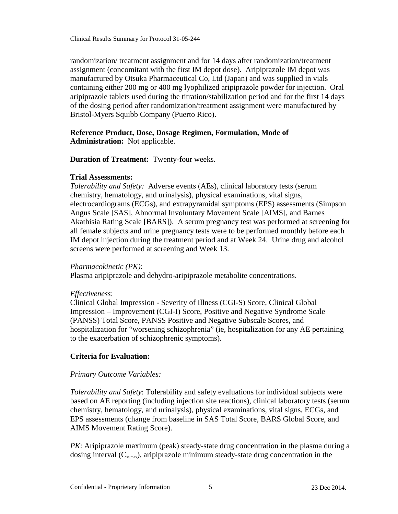randomization/ treatment assignment and for 14 days after randomization/treatment assignment (concomitant with the first IM depot dose). Aripiprazole IM depot was manufactured by Otsuka Pharmaceutical Co, Ltd (Japan) and was supplied in vials containing either 200 mg or 400 mg lyophilized aripiprazole powder for injection. Oral aripiprazole tablets used during the titration/stabilization period and for the first 14 days of the dosing period after randomization/treatment assignment were manufactured by Bristol-Myers Squibb Company (Puerto Rico).

### **Reference Product, Dose, Dosage Regimen, Formulation, Mode of Administration:** Not applicable.

**Duration of Treatment:** Twenty-four weeks.

### **Trial Assessments:**

*Tolerability and Safety:* Adverse events (AEs), clinical laboratory tests (serum chemistry, hematology, and urinalysis), physical examinations, vital signs, electrocardiograms (ECGs), and extrapyramidal symptoms (EPS) assessments (Simpson Angus Scale [SAS], Abnormal Involuntary Movement Scale [AIMS], and Barnes Akathisia Rating Scale [BARS]). A serum pregnancy test was performed at screening for all female subjects and urine pregnancy tests were to be performed monthly before each IM depot injection during the treatment period and at Week 24. Urine drug and alcohol screens were performed at screening and Week 13.

### *Pharmacokinetic (PK)*:

Plasma aripiprazole and dehydro-aripiprazole metabolite concentrations.

### *Effectiveness*:

Clinical Global Impression - Severity of Illness (CGI-S) Score, Clinical Global Impression – Improvement (CGI-I) Score, Positive and Negative Syndrome Scale (PANSS) Total Score, PANSS Positive and Negative Subscale Scores, and hospitalization for "worsening schizophrenia" (ie, hospitalization for any AE pertaining to the exacerbation of schizophrenic symptoms).

## **Criteria for Evaluation:**

### *Primary Outcome Variables:*

*Tolerability and Safety*: Tolerability and safety evaluations for individual subjects were based on AE reporting (including injection site reactions), clinical laboratory tests (serum chemistry, hematology, and urinalysis), physical examinations, vital signs, ECGs, and EPS assessments (change from baseline in SAS Total Score, BARS Global Score, and AIMS Movement Rating Score).

*PK*: Aripiprazole maximum (peak) steady-state drug concentration in the plasma during a dosing interval  $(C_{\text{ss,max}})$ , aripiprazole minimum steady-state drug concentration in the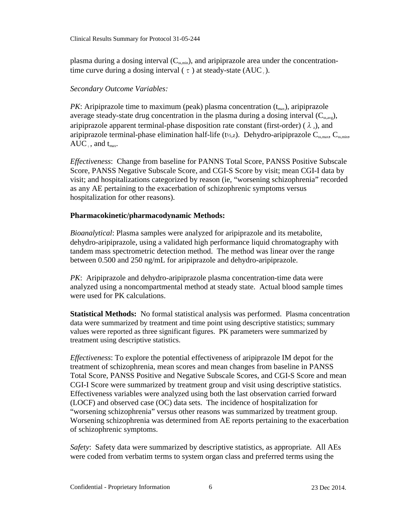Clinical Results Summary for Protocol 31-05-244

plasma during a dosing interval  $(C_{ss,min})$ , and aripiprazole area under the concentrationtime curve during a dosing interval ( $\tau$ ) at steady-state (AUC<sub>r</sub>).

# *Secondary Outcome Variables:*

*PK*: Aripiprazole time to maximum (peak) plasma concentration  $(t_{max})$ , aripiprazole average steady-state drug concentration in the plasma during a dosing interval  $(C_{ss,avg})$ , aripiprazole apparent terminal-phase disposition rate constant (first-order) ( $\lambda$ ,), and aripiprazole terminal-phase elimination half-life (t½,z). Dehydro-aripiprazole  $C_{ss,max}$ ,  $C_{ss,min}$ ,  $AUC_{\tau}$ , and  $t_{\text{max}}$ .

*Effectiveness*: Change from baseline for PANNS Total Score, PANSS Positive Subscale Score, PANSS Negative Subscale Score, and CGI-S Score by visit; mean CGI-I data by visit; and hospitalizations categorized by reason (ie, "worsening schizophrenia" recorded as any AE pertaining to the exacerbation of schizophrenic symptoms versus hospitalization for other reasons).

## **Pharmacokinetic/pharmacodynamic Methods:**

*Bioanalytical*: Plasma samples were analyzed for aripiprazole and its metabolite, dehydro-aripiprazole, using a validated high performance liquid chromatography with tandem mass spectrometric detection method. The method was linear over the range between 0.500 and 250 ng/mL for aripiprazole and dehydro-aripiprazole.

*PK*: Aripiprazole and dehydro-aripiprazole plasma concentration-time data were analyzed using a noncompartmental method at steady state. Actual blood sample times were used for PK calculations.

**Statistical Methods:** No formal statistical analysis was performed. Plasma concentration data were summarized by treatment and time point using descriptive statistics; summary values were reported as three significant figures. PK parameters were summarized by treatment using descriptive statistics.

*Effectiveness*: To explore the potential effectiveness of aripiprazole IM depot for the treatment of schizophrenia, mean scores and mean changes from baseline in PANSS Total Score, PANSS Positive and Negative Subscale Scores, and CGI-S Score and mean CGI-I Score were summarized by treatment group and visit using descriptive statistics. Effectiveness variables were analyzed using both the last observation carried forward (LOCF) and observed case (OC) data sets. The incidence of hospitalization for "worsening schizophrenia" versus other reasons was summarized by treatment group. Worsening schizophrenia was determined from AE reports pertaining to the exacerbation of schizophrenic symptoms.

*Safety*: Safety data were summarized by descriptive statistics, as appropriate. All AEs were coded from verbatim terms to system organ class and preferred terms using the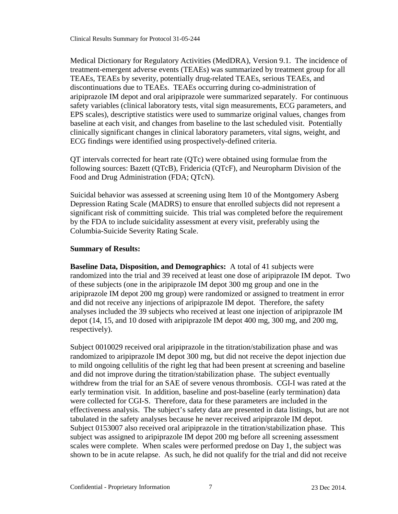Medical Dictionary for Regulatory Activities (MedDRA), Version 9.1. The incidence of treatment-emergent adverse events (TEAEs) was summarized by treatment group for all TEAEs, TEAEs by severity, potentially drug-related TEAEs, serious TEAEs, and discontinuations due to TEAEs. TEAEs occurring during co-administration of aripiprazole IM depot and oral aripiprazole were summarized separately. For continuous safety variables (clinical laboratory tests, vital sign measurements, ECG parameters, and EPS scales), descriptive statistics were used to summarize original values, changes from baseline at each visit, and changes from baseline to the last scheduled visit. Potentially clinically significant changes in clinical laboratory parameters, vital signs, weight, and ECG findings were identified using prospectively-defined criteria.

QT intervals corrected for heart rate (QTc) were obtained using formulae from the following sources: Bazett (QTcB), Fridericia (QTcF), and Neuropharm Division of the Food and Drug Administration (FDA; QTcN).

Suicidal behavior was assessed at screening using Item 10 of the Montgomery Asberg Depression Rating Scale (MADRS) to ensure that enrolled subjects did not represent a significant risk of committing suicide. This trial was completed before the requirement by the FDA to include suicidality assessment at every visit, preferably using the Columbia-Suicide Severity Rating Scale.

### **Summary of Results:**

**Baseline Data, Disposition, and Demographics:** A total of 41 subjects were randomized into the trial and 39 received at least one dose of aripiprazole IM depot. Two of these subjects (one in the aripiprazole IM depot 300 mg group and one in the aripiprazole IM depot 200 mg group) were randomized or assigned to treatment in error and did not receive any injections of aripiprazole IM depot. Therefore, the safety analyses included the 39 subjects who received at least one injection of aripiprazole IM depot (14, 15, and 10 dosed with aripiprazole IM depot 400 mg, 300 mg, and 200 mg, respectively).

Subject 0010029 received oral aripiprazole in the titration/stabilization phase and was randomized to aripiprazole IM depot 300 mg, but did not receive the depot injection due to mild ongoing cellulitis of the right leg that had been present at screening and baseline and did not improve during the titration/stabilization phase. The subject eventually withdrew from the trial for an SAE of severe venous thrombosis. CGI-I was rated at the early termination visit. In addition, baseline and post-baseline (early termination) data were collected for CGI-S. Therefore, data for these parameters are included in the effectiveness analysis. The subject's safety data are presented in data listings, but are not tabulated in the safety analyses because he never received aripiprazole IM depot. Subject 0153007 also received oral aripiprazole in the titration/stabilization phase. This subject was assigned to aripiprazole IM depot 200 mg before all screening assessment scales were complete. When scales were performed predose on Day 1, the subject was shown to be in acute relapse. As such, he did not qualify for the trial and did not receive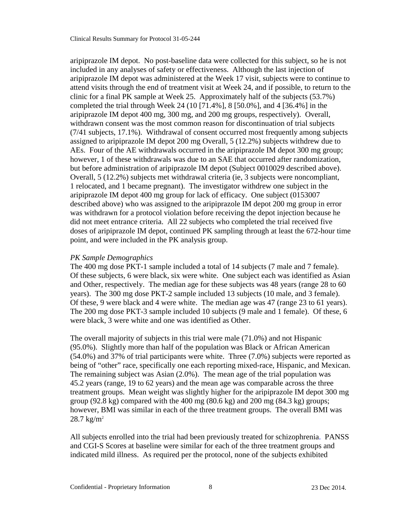aripiprazole IM depot. No post-baseline data were collected for this subject, so he is not included in any analyses of safety or effectiveness. Although the last injection of aripiprazole IM depot was administered at the Week 17 visit, subjects were to continue to attend visits through the end of treatment visit at Week 24, and if possible, to return to the clinic for a final PK sample at Week 25. Approximately half of the subjects (53.7%) completed the trial through Week 24 (10 [71.4%], 8 [50.0%], and 4 [36.4%] in the aripiprazole IM depot 400 mg, 300 mg, and 200 mg groups, respectively). Overall, withdrawn consent was the most common reason for discontinuation of trial subjects (7/41 subjects, 17.1%). Withdrawal of consent occurred most frequently among subjects assigned to aripiprazole IM depot 200 mg Overall, 5 (12.2%) subjects withdrew due to AEs. Four of the AE withdrawals occurred in the aripiprazole IM depot 300 mg group; however, 1 of these withdrawals was due to an SAE that occurred after randomization, but before administration of aripiprazole IM depot (Subject 0010029 described above). Overall, 5 (12.2%) subjects met withdrawal criteria (ie, 3 subjects were noncompliant, 1 relocated, and 1 became pregnant). The investigator withdrew one subject in the aripiprazole IM depot 400 mg group for lack of efficacy. One subject (0153007 described above) who was assigned to the aripiprazole IM depot 200 mg group in error was withdrawn for a protocol violation before receiving the depot injection because he did not meet entrance criteria. All 22 subjects who completed the trial received five doses of aripiprazole IM depot, continued PK sampling through at least the 672-hour time point, and were included in the PK analysis group.

#### *PK Sample Demographics*

The 400 mg dose PKT-1 sample included a total of 14 subjects (7 male and 7 female). Of these subjects, 6 were black, six were white. One subject each was identified as Asian and Other, respectively. The median age for these subjects was 48 years (range 28 to 60 years). The 300 mg dose PKT-2 sample included 13 subjects (10 male, and 3 female). Of these, 9 were black and 4 were white. The median age was 47 (range 23 to 61 years). The 200 mg dose PKT-3 sample included 10 subjects (9 male and 1 female). Of these, 6 were black, 3 were white and one was identified as Other.

The overall majority of subjects in this trial were male (71.0%) and not Hispanic (95.0%). Slightly more than half of the population was Black or African American (54.0%) and 37% of trial participants were white. Three (7.0%) subjects were reported as being of "other" race, specifically one each reporting mixed-race, Hispanic, and Mexican. The remaining subject was Asian (2.0%). The mean age of the trial population was 45.2 years (range, 19 to 62 years) and the mean age was comparable across the three treatment groups. Mean weight was slightly higher for the aripiprazole IM depot 300 mg group (92.8 kg) compared with the 400 mg (80.6 kg) and 200 mg (84.3 kg) groups; however, BMI was similar in each of the three treatment groups. The overall BMI was  $28.7 \text{ kg/m}^2$ 

All subjects enrolled into the trial had been previously treated for schizophrenia. PANSS and CGI-S Scores at baseline were similar for each of the three treatment groups and indicated mild illness. As required per the protocol, none of the subjects exhibited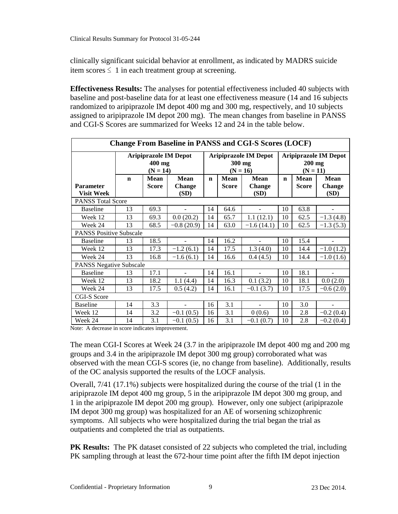clinically significant suicidal behavior at enrollment, as indicated by MADRS suicide item scores  $\leq 1$  in each treatment group at screening.

**Effectiveness Results:** The analyses for potential effectiveness included 40 subjects with baseline and post-baseline data for at least one effectiveness measure (14 and 16 subjects randomized to aripiprazole IM depot 400 mg and 300 mg, respectively, and 10 subjects assigned to aripiprazole IM depot 200 mg). The mean changes from baseline in PANSS and CGI-S Scores are summarized for Weeks 12 and 24 in the table below.

| <b>Change From Baseline in PANSS and CGI-S Scores (LOCF)</b> |                                                      |                      |                                      |             |                             |                                      |                                                        |                             |                               |  |  |  |
|--------------------------------------------------------------|------------------------------------------------------|----------------------|--------------------------------------|-------------|-----------------------------|--------------------------------------|--------------------------------------------------------|-----------------------------|-------------------------------|--|--|--|
|                                                              | <b>Aripiprazole IM Depot</b><br>400 mg<br>$(N = 14)$ |                      |                                      |             | 300 mg<br>$(N = 16)$        | <b>Aripiprazole IM Depot</b>         | <b>Aripiprazole IM Depot</b><br>$200$ mg<br>$(N = 11)$ |                             |                               |  |  |  |
| <b>Parameter</b><br><b>Visit Week</b>                        | $\mathbf n$                                          | Mean<br><b>Score</b> | <b>Mean</b><br><b>Change</b><br>(SD) | $\mathbf n$ | <b>Mean</b><br><b>Score</b> | <b>Mean</b><br><b>Change</b><br>(SD) | $\mathbf n$                                            | <b>Mean</b><br><b>Score</b> | <b>Mean</b><br>Change<br>(SD) |  |  |  |
|                                                              | <b>PANSS Total Score</b>                             |                      |                                      |             |                             |                                      |                                                        |                             |                               |  |  |  |
| <b>Baseline</b>                                              | 13                                                   | 69.3                 |                                      | 14          | 64.6                        |                                      | 10                                                     | 63.8                        |                               |  |  |  |
| Week 12                                                      | 13                                                   | 69.3                 | 0.0(20.2)                            | 14          | 65.7                        | 1.1(12.1)                            | 10                                                     | 62.5                        | $-1.3(4.8)$                   |  |  |  |
| Week 24                                                      | 13                                                   | 68.5                 | $-0.8(20.9)$                         | 14          | 63.0                        | $-1.6(14.1)$                         | 10                                                     | 62.5                        | $-1.3(5.3)$                   |  |  |  |
| <b>PANSS Positive Subscale</b>                               |                                                      |                      |                                      |             |                             |                                      |                                                        |                             |                               |  |  |  |
| <b>Baseline</b>                                              | 13                                                   | 18.5                 |                                      | 14          | 16.2                        |                                      | 10                                                     | 15.4                        |                               |  |  |  |
| Week 12                                                      | 13                                                   | 17.3                 | $-1.2(6.1)$                          | 14          | 17.5                        | 1.3(4.0)                             | 10                                                     | 14.4                        | $-1.0(1.2)$                   |  |  |  |
| Week 24                                                      | 13                                                   | 16.8                 | $-1.6(6.1)$                          | 14          | 16.6                        | 0.4(4.5)                             | 10                                                     | 14.4                        | $-1.0(1.6)$                   |  |  |  |
| <b>PANSS Negative Subscale</b>                               |                                                      |                      |                                      |             |                             |                                      |                                                        |                             |                               |  |  |  |
| <b>Baseline</b>                                              | 13                                                   | 17.1                 | $\blacksquare$                       | 14          | 16.1                        | $\blacksquare$                       | 10                                                     | 18.1                        | -                             |  |  |  |
| Week 12                                                      | 13                                                   | 18.2                 | 1.1(4.4)                             | 14          | 16.3                        | 0.1(3.2)                             | 10                                                     | 18.1                        | 0.0(2.0)                      |  |  |  |
| Week 24                                                      | 13                                                   | 17.5                 | 0.5(4.2)                             | 14          | 16.1                        | $-0.1(3.7)$                          | 10                                                     | 17.5                        | $-0.6(2.0)$                   |  |  |  |
| <b>CGI-S Score</b>                                           |                                                      |                      |                                      |             |                             |                                      |                                                        |                             |                               |  |  |  |
| <b>Baseline</b>                                              | 14                                                   | 3.3                  |                                      | 16          | 3.1                         |                                      | 10                                                     | 3.0                         |                               |  |  |  |
| Week 12                                                      | 14                                                   | 3.2                  | $-0.1(0.5)$                          | 16          | 3.1                         | 0(0.6)                               | 10                                                     | 2.8                         | $-0.2(0.4)$                   |  |  |  |
| Week 24                                                      | 14                                                   | 3.1                  | $-0.1(0.5)$                          | 16          | 3.1                         | $-0.1(0.7)$                          | 10                                                     | 2.8                         | $-0.2(0.4)$                   |  |  |  |

Note: A decrease in score indicates improvement.

The mean CGI-I Scores at Week 24 (3.7 in the aripiprazole IM depot 400 mg and 200 mg groups and 3.4 in the aripiprazole IM depot 300 mg group) corroborated what was observed with the mean CGI-S scores (ie, no change from baseline). Additionally, results of the OC analysis supported the results of the LOCF analysis.

Overall, 7/41 (17.1%) subjects were hospitalized during the course of the trial (1 in the aripiprazole IM depot 400 mg group, 5 in the aripiprazole IM depot 300 mg group, and 1 in the aripiprazole IM depot 200 mg group). However, only one subject (aripiprazole IM depot 300 mg group) was hospitalized for an AE of worsening schizophrenic symptoms. All subjects who were hospitalized during the trial began the trial as outpatients and completed the trial as outpatients.

**PK Results:** The PK dataset consisted of 22 subjects who completed the trial, including PK sampling through at least the 672-hour time point after the fifth IM depot injection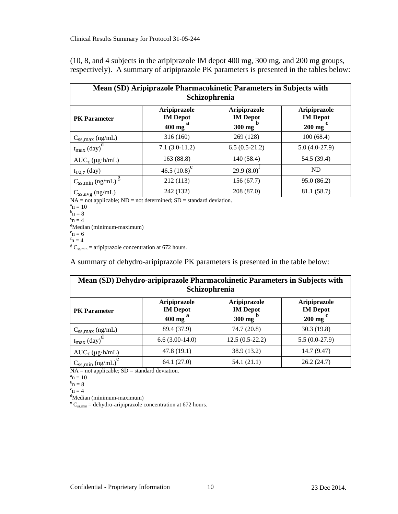(10, 8, and 4 subjects in the aripiprazole IM depot 400 mg, 300 mg, and 200 mg groups, respectively). A summary of aripiprazole PK parameters is presented in the tables below:

| Mean (SD) Aripiprazole Pharmacokinetic Parameters in Subjects with<br>Schizophrenia |                                                        |                                           |                                                            |  |  |  |  |  |  |
|-------------------------------------------------------------------------------------|--------------------------------------------------------|-------------------------------------------|------------------------------------------------------------|--|--|--|--|--|--|
| <b>PK</b> Parameter                                                                 | Aripiprazole<br><b>IM</b> Depot<br>$400$ mg $^{\circ}$ | Aripiprazole<br><b>IM</b> Depot<br>300 mg | Aripiprazole<br><b>IM</b> Depot<br>$200$ mg $\overline{)}$ |  |  |  |  |  |  |
| $C_{ss,max}$ (ng/mL)                                                                | 316 (160)                                              | 269 (128)                                 | 100(68.4)                                                  |  |  |  |  |  |  |
| $t_{\text{max}}$ (day)                                                              | $7.1(3.0-11.2)$                                        | $6.5(0.5-21.2)$                           | $5.0(4.0-27.9)$                                            |  |  |  |  |  |  |
| $AUC_{\tau} (\mu g \cdot h/mL)$                                                     | 163 (88.8)                                             | 140(58.4)                                 | 54.5 (39.4)                                                |  |  |  |  |  |  |
| $t_{1/2, Z}$ (day)                                                                  | 46.5 $(10.8)^e$                                        | 29.9(8.0)                                 | <b>ND</b>                                                  |  |  |  |  |  |  |
| $\frac{C_{SS,min} (ng/mL)^g}{2}$                                                    | 212 (113)                                              | 156(67.7)                                 | 95.0(86.2)                                                 |  |  |  |  |  |  |
| $C_{SS,avg}$ (ng/mL)                                                                | 242 (132)                                              | 208 (87.0)                                | 81.1 (58.7)                                                |  |  |  |  |  |  |

 $NA = not applicable; ND = not determined; SD = standard deviation.$ 

 $a_n = 10$ 

 $b_n = 8$ 

 $c_n = 4$ 

<sup>d</sup>Median (minimum-maximum)

 $e<sub>n</sub> = 6$ 

 $f_n = 4$ 

 $\rm E_{\rm C_{ss,min}}$  = aripiprazole concentration at 672 hours.

A summary of dehydro-aripiprazole PK parameters is presented in the table below:

| Mean (SD) Dehydro-aripiprazole Pharmacokinetic Parameters in Subjects with<br>Schizophrenia                                                                                |                  |                  |                 |  |  |  |  |  |  |
|----------------------------------------------------------------------------------------------------------------------------------------------------------------------------|------------------|------------------|-----------------|--|--|--|--|--|--|
| <b>Aripiprazole</b><br>Aripiprazole<br><b>Aripiprazole</b><br><b>IM</b> Depot<br><b>IM</b> Depot<br><b>IM</b> Depot<br><b>PK</b> Parameter<br>$200$ mg<br>400 mg<br>300 mg |                  |                  |                 |  |  |  |  |  |  |
| $C_{ss,max}$ (ng/mL)                                                                                                                                                       | 89.4 (37.9)      | 74.7 (20.8)      | 30.3(19.8)      |  |  |  |  |  |  |
| $t_{\text{max}}$ (day)                                                                                                                                                     | $6.6(3.00-14.0)$ | $12.5(0.5-22.2)$ | $5.5(0.0-27.9)$ |  |  |  |  |  |  |
| $AUC_{\tau} (\mu g \cdot h/mL)$                                                                                                                                            | 47.8(19.1)       | 38.9 (13.2)      | 14.7 (9.47)     |  |  |  |  |  |  |
| $C_{SS,min}$ (ng/mL)                                                                                                                                                       | 64.1(27.0)       | 54.1(21.1)       | 26.2(24.7)      |  |  |  |  |  |  |

 $NA = not applicable; SD = standard deviation.$ 

 ${}_{b_{n}}^{a} = 10$ 

$$
n^{\rm b}n=8
$$

 $c_n = 4$ 

 $d$ Median (minimum-maximum)

 $e^{e}$  C<sub>ss,min</sub> = dehydro-aripiprazole concentration at 672 hours.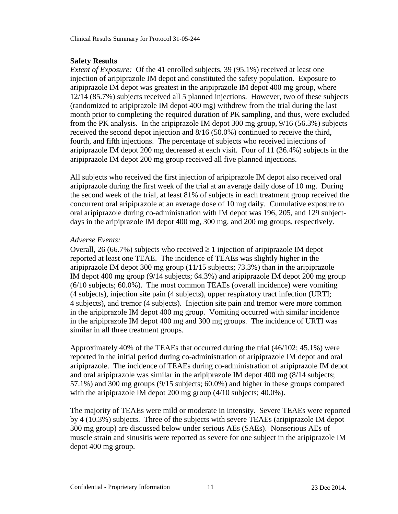### **Safety Results**

*Extent of Exposure:* Of the 41 enrolled subjects, 39 (95.1%) received at least one injection of aripiprazole IM depot and constituted the safety population. Exposure to aripiprazole IM depot was greatest in the aripiprazole IM depot 400 mg group, where 12/14 (85.7%) subjects received all 5 planned injections. However, two of these subjects (randomized to aripiprazole IM depot 400 mg) withdrew from the trial during the last month prior to completing the required duration of PK sampling, and thus, were excluded from the PK analysis. In the aripiprazole IM depot 300 mg group, 9/16 (56.3%) subjects received the second depot injection and 8/16 (50.0%) continued to receive the third, fourth, and fifth injections. The percentage of subjects who received injections of aripiprazole IM depot 200 mg decreased at each visit. Four of 11 (36.4%) subjects in the aripiprazole IM depot 200 mg group received all five planned injections.

All subjects who received the first injection of aripiprazole IM depot also received oral aripiprazole during the first week of the trial at an average daily dose of 10 mg. During the second week of the trial, at least 81% of subjects in each treatment group received the concurrent oral aripiprazole at an average dose of 10 mg daily. Cumulative exposure to oral aripiprazole during co-administration with IM depot was 196, 205, and 129 subjectdays in the aripiprazole IM depot 400 mg, 300 mg, and 200 mg groups, respectively.

## *Adverse Events:*

Overall, 26 (66.7%) subjects who received  $\geq 1$  injection of aripiprazole IM depot reported at least one TEAE. The incidence of TEAEs was slightly higher in the aripiprazole IM depot 300 mg group (11/15 subjects; 73.3%) than in the aripiprazole IM depot 400 mg group (9/14 subjects; 64.3%) and aripiprazole IM depot 200 mg group (6/10 subjects; 60.0%). The most common TEAEs (overall incidence) were vomiting (4 subjects), injection site pain (4 subjects), upper respiratory tract infection (URTI; 4 subjects), and tremor (4 subjects). Injection site pain and tremor were more common in the aripiprazole IM depot 400 mg group. Vomiting occurred with similar incidence in the aripiprazole IM depot 400 mg and 300 mg groups. The incidence of URTI was similar in all three treatment groups.

Approximately 40% of the TEAEs that occurred during the trial (46/102; 45.1%) were reported in the initial period during co-administration of aripiprazole IM depot and oral aripiprazole. The incidence of TEAEs during co-administration of aripiprazole IM depot and oral aripiprazole was similar in the aripiprazole IM depot 400 mg (8/14 subjects; 57.1%) and 300 mg groups (9/15 subjects; 60.0%) and higher in these groups compared with the aripiprazole IM depot 200 mg group  $(4/10 \text{ subjects}; 40.0\%)$ .

The majority of TEAEs were mild or moderate in intensity. Severe TEAEs were reported by 4 (10.3%) subjects. Three of the subjects with severe TEAEs (aripiprazole IM depot 300 mg group) are discussed below under serious AEs (SAEs). Nonserious AEs of muscle strain and sinusitis were reported as severe for one subject in the aripiprazole IM depot 400 mg group.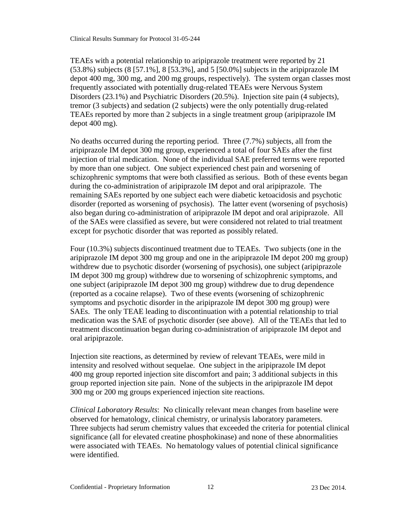Clinical Results Summary for Protocol 31-05-244

TEAEs with a potential relationship to aripiprazole treatment were reported by 21 (53.8%) subjects (8 [57.1%], 8 [53.3%], and 5 [50.0%] subjects in the aripiprazole IM depot 400 mg, 300 mg, and 200 mg groups, respectively). The system organ classes most frequently associated with potentially drug-related TEAEs were Nervous System Disorders (23.1%) and Psychiatric Disorders (20.5%). Injection site pain (4 subjects), tremor (3 subjects) and sedation (2 subjects) were the only potentially drug-related TEAEs reported by more than 2 subjects in a single treatment group (aripiprazole IM depot 400 mg).

No deaths occurred during the reporting period. Three (7.7%) subjects, all from the aripiprazole IM depot 300 mg group, experienced a total of four SAEs after the first injection of trial medication. None of the individual SAE preferred terms were reported by more than one subject. One subject experienced chest pain and worsening of schizophrenic symptoms that were both classified as serious. Both of these events began during the co-administration of aripiprazole IM depot and oral aripiprazole. The remaining SAEs reported by one subject each were diabetic ketoacidosis and psychotic disorder (reported as worsening of psychosis). The latter event (worsening of psychosis) also began during co-administration of aripiprazole IM depot and oral aripiprazole. All of the SAEs were classified as severe, but were considered not related to trial treatment except for psychotic disorder that was reported as possibly related.

Four (10.3%) subjects discontinued treatment due to TEAEs. Two subjects (one in the aripiprazole IM depot 300 mg group and one in the aripiprazole IM depot 200 mg group) withdrew due to psychotic disorder (worsening of psychosis), one subject (aripiprazole IM depot 300 mg group) withdrew due to worsening of schizophrenic symptoms, and one subject (aripiprazole IM depot 300 mg group) withdrew due to drug dependence (reported as a cocaine relapse). Two of these events (worsening of schizophrenic symptoms and psychotic disorder in the aripiprazole IM depot 300 mg group) were SAEs. The only TEAE leading to discontinuation with a potential relationship to trial medication was the SAE of psychotic disorder (see above). All of the TEAEs that led to treatment discontinuation began during co-administration of aripiprazole IM depot and oral aripiprazole.

Injection site reactions, as determined by review of relevant TEAEs, were mild in intensity and resolved without sequelae. One subject in the aripiprazole IM depot 400 mg group reported injection site discomfort and pain; 3 additional subjects in this group reported injection site pain. None of the subjects in the aripiprazole IM depot 300 mg or 200 mg groups experienced injection site reactions.

*Clinical Laboratory Results*: No clinically relevant mean changes from baseline were observed for hematology, clinical chemistry, or urinalysis laboratory parameters. Three subjects had serum chemistry values that exceeded the criteria for potential clinical significance (all for elevated creatine phosphokinase) and none of these abnormalities were associated with TEAEs. No hematology values of potential clinical significance were identified.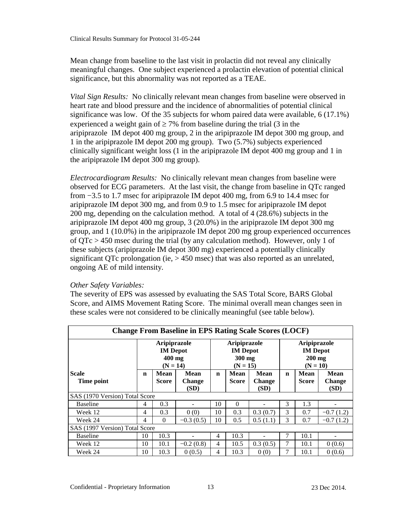Mean change from baseline to the last visit in prolactin did not reveal any clinically meaningful changes. One subject experienced a prolactin elevation of potential clinical significance, but this abnormality was not reported as a TEAE.

*Vital Sign Results:* No clinically relevant mean changes from baseline were observed in heart rate and blood pressure and the incidence of abnormalities of potential clinical significance was low. Of the 35 subjects for whom paired data were available, 6 (17.1%) experienced a weight gain of  $\geq 7\%$  from baseline during the trial (3 in the aripiprazole IM depot 400 mg group, 2 in the aripiprazole IM depot 300 mg group, and 1 in the aripiprazole IM depot 200 mg group). Two (5.7%) subjects experienced clinically significant weight loss (1 in the aripiprazole IM depot 400 mg group and 1 in the aripiprazole IM depot 300 mg group).

*Electrocardiogram Results:* No clinically relevant mean changes from baseline were observed for ECG parameters. At the last visit, the change from baseline in QTc ranged from −3.5 to 1.7 msec for aripiprazole IM depot 400 mg, from 6.9 to 14.4 msec for aripiprazole IM depot 300 mg, and from 0.9 to 1.5 msec for aripiprazole IM depot 200 mg, depending on the calculation method. A total of 4 (28.6%) subjects in the aripiprazole IM depot 400 mg group, 3 (20.0%) in the aripiprazole IM depot 300 mg group, and 1 (10.0%) in the aripiprazole IM depot 200 mg group experienced occurrences of  $QTc > 450$  msec during the trial (by any calculation method). However, only 1 of these subjects (aripiprazole IM depot 300 mg) experienced a potentially clinically significant QTc prolongation (ie, > 450 msec) that was also reported as an unrelated, ongoing AE of mild intensity.

### *Other Safety Variables:*

The severity of EPS was assessed by evaluating the SAS Total Score, BARS Global Score, and AIMS Movement Rating Score. The minimal overall mean changes seen in these scales were not considered to be clinically meaningful (see table below).

| <b>Change From Baseline in EPS Rating Scale Scores (LOCF)</b> |                                                         |               |                                      |    |                                                         |                               |                                                                  |                      |                                      |  |
|---------------------------------------------------------------|---------------------------------------------------------|---------------|--------------------------------------|----|---------------------------------------------------------|-------------------------------|------------------------------------------------------------------|----------------------|--------------------------------------|--|
|                                                               | Aripiprazole<br><b>IM</b> Depot<br>400 mg<br>$(N = 14)$ |               |                                      |    | Aripiprazole<br><b>IM</b> Depot<br>300 mg<br>$(N = 15)$ |                               | <b>Aripiprazole</b><br><b>IM</b> Depot<br>$200$ mg<br>$(N = 10)$ |                      |                                      |  |
| <b>Scale</b><br>Time point                                    | n                                                       | Mean<br>Score | <b>Mean</b><br><b>Change</b><br>(SD) | n  | Mean<br><b>Score</b>                                    | Mean<br><b>Change</b><br>(SD) | $\mathbf n$                                                      | Mean<br><b>Score</b> | <b>Mean</b><br><b>Change</b><br>(SD) |  |
|                                                               | SAS (1970 Version) Total Score                          |               |                                      |    |                                                         |                               |                                                                  |                      |                                      |  |
| <b>Baseline</b>                                               | 4                                                       | 0.3           |                                      | 10 | $\Omega$                                                |                               | 3                                                                | 1.3                  |                                      |  |
| Week 12                                                       | $\overline{4}$                                          | 0.3           | 0(0)                                 | 10 | 0.3                                                     | 0.3(0.7)                      | 3                                                                | 0.7                  | $-0.7(1.2)$                          |  |
| Week 24                                                       | $\overline{4}$                                          | $\Omega$      | $-0.3(0.5)$                          | 10 | 0.5                                                     | 0.5(1.1)                      | 3                                                                | 0.7                  | $-0.7(1.2)$                          |  |
| SAS (1997 Version) Total Score                                |                                                         |               |                                      |    |                                                         |                               |                                                                  |                      |                                      |  |
| <b>Baseline</b>                                               | 10                                                      | 10.3          |                                      | 4  | 10.3                                                    |                               | 7                                                                | 10.1                 |                                      |  |
| Week 12                                                       | 10                                                      | 10.1          | $-0.2(0.8)$                          | 4  | 10.5                                                    | 0.3(0.5)                      | 7                                                                | 10.1                 | 0(0.6)                               |  |
| Week 24                                                       | 10                                                      | 10.3          | 0(0.5)                               | 4  | 10.3                                                    | 0(0)                          | 7                                                                | 10.1                 | 0(0.6)                               |  |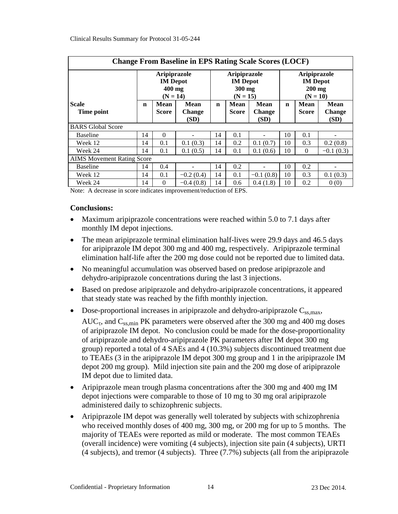| <b>Change From Baseline in EPS Rating Scale Scores (LOCF)</b> |                                                         |                             |                                      |             |                                                                |                               |                                                                  |                      |                                      |  |
|---------------------------------------------------------------|---------------------------------------------------------|-----------------------------|--------------------------------------|-------------|----------------------------------------------------------------|-------------------------------|------------------------------------------------------------------|----------------------|--------------------------------------|--|
|                                                               | Aripiprazole<br><b>IM</b> Depot<br>400 mg<br>$(N = 14)$ |                             |                                      |             | <b>Aripiprazole</b><br><b>IM</b> Depot<br>300 mg<br>$(N = 15)$ |                               | <b>Aripiprazole</b><br><b>IM</b> Depot<br>$200$ mg<br>$(N = 10)$ |                      |                                      |  |
| <b>Scale</b><br>Time point                                    | n                                                       | <b>Mean</b><br><b>Score</b> | <b>Mean</b><br><b>Change</b><br>(SD) | $\mathbf n$ | Mean<br><b>Score</b>                                           | Mean<br><b>Change</b><br>(SD) | $\mathbf n$                                                      | Mean<br><b>Score</b> | <b>Mean</b><br><b>Change</b><br>(SD) |  |
| <b>BARS</b> Global Score                                      |                                                         |                             |                                      |             |                                                                |                               |                                                                  |                      |                                      |  |
| <b>Baseline</b>                                               | 14                                                      | $\Omega$                    |                                      | 14          | 0.1                                                            |                               | 10                                                               | 0.1                  |                                      |  |
| Week 12                                                       | 14                                                      | 0.1                         | 0.1(0.3)                             | 14          | 0.2                                                            | 0.1(0.7)                      | 10                                                               | 0.3                  | 0.2(0.8)                             |  |
| Week 24                                                       | 14                                                      | 0.1                         | 0.1(0.5)                             | 14          | 0.1                                                            | 0.1(0.6)                      | 10                                                               | $\Omega$             | $-0.1(0.3)$                          |  |
| <b>AIMS</b> Movement Rating Score                             |                                                         |                             |                                      |             |                                                                |                               |                                                                  |                      |                                      |  |
| <b>Baseline</b>                                               | 14                                                      | 0.4                         |                                      | 14          | 0.2                                                            |                               | 10                                                               | 0.2                  |                                      |  |
| Week 12                                                       | 14                                                      | 0.1                         | $-0.2(0.4)$                          | 14          | 0.1                                                            | $-0.1(0.8)$                   | 10                                                               | 0.3                  | 0.1(0.3)                             |  |
| Week 24                                                       | 14                                                      | $\Omega$                    | $-0.4(0.8)$                          | 14          | 0.6                                                            | 0.4(1.8)                      | 10                                                               | 0.2                  | 0(0)                                 |  |

Note: A decrease in score indicates improvement/reduction of EPS.

### **Conclusions:**

- Maximum aripiprazole concentrations were reached within 5.0 to 7.1 days after monthly IM depot injections.
- The mean aripiprazole terminal elimination half-lives were 29.9 days and 46.5 days for aripiprazole IM depot 300 mg and 400 mg, respectively. Aripiprazole terminal elimination half-life after the 200 mg dose could not be reported due to limited data.
- No meaningful accumulation was observed based on predose aripiprazole and dehydro-aripiprazole concentrations during the last 3 injections.
- Based on predose aripiprazole and dehydro-aripiprazole concentrations, it appeared that steady state was reached by the fifth monthly injection.
- Dose-proportional increases in aripiprazole and dehydro-aripiprazole  $C_{ss,max}$ ,

 $AUC_{\tau}$ , and  $C_{ss,min}$  PK parameters were observed after the 300 mg and 400 mg doses of aripiprazole IM depot. No conclusion could be made for the dose-proportionality of aripiprazole and dehydro-aripiprazole PK parameters after IM depot 300 mg group) reported a total of 4 SAEs and 4 (10.3%) subjects discontinued treatment due to TEAEs (3 in the aripiprazole IM depot 300 mg group and 1 in the aripiprazole IM depot 200 mg group). Mild injection site pain and the 200 mg dose of aripiprazole IM depot due to limited data.

- Aripiprazole mean trough plasma concentrations after the 300 mg and 400 mg IM depot injections were comparable to those of 10 mg to 30 mg oral aripiprazole administered daily to schizophrenic subjects.
- Aripiprazole IM depot was generally well tolerated by subjects with schizophrenia who received monthly doses of 400 mg, 300 mg, or 200 mg for up to 5 months. The majority of TEAEs were reported as mild or moderate. The most common TEAEs (overall incidence) were vomiting (4 subjects), injection site pain (4 subjects), URTI (4 subjects), and tremor (4 subjects). Three (7.7%) subjects (all from the aripiprazole